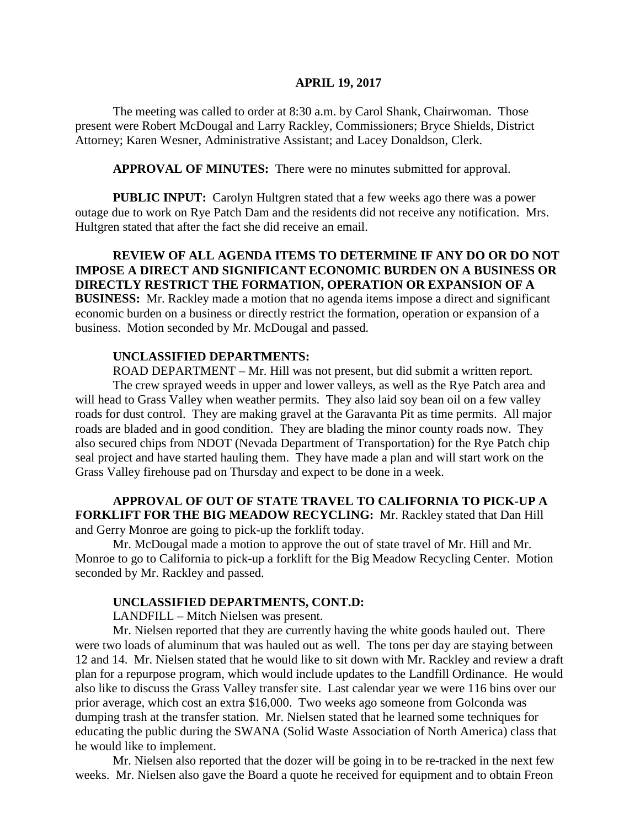#### **APRIL 19, 2017**

The meeting was called to order at 8:30 a.m. by Carol Shank, Chairwoman. Those present were Robert McDougal and Larry Rackley, Commissioners; Bryce Shields, District Attorney; Karen Wesner, Administrative Assistant; and Lacey Donaldson, Clerk.

**APPROVAL OF MINUTES:** There were no minutes submitted for approval.

**PUBLIC INPUT:** Carolyn Hultgren stated that a few weeks ago there was a power outage due to work on Rye Patch Dam and the residents did not receive any notification. Mrs. Hultgren stated that after the fact she did receive an email.

**REVIEW OF ALL AGENDA ITEMS TO DETERMINE IF ANY DO OR DO NOT IMPOSE A DIRECT AND SIGNIFICANT ECONOMIC BURDEN ON A BUSINESS OR DIRECTLY RESTRICT THE FORMATION, OPERATION OR EXPANSION OF A BUSINESS:** Mr. Rackley made a motion that no agenda items impose a direct and significant economic burden on a business or directly restrict the formation, operation or expansion of a business. Motion seconded by Mr. McDougal and passed.

#### **UNCLASSIFIED DEPARTMENTS:**

ROAD DEPARTMENT – Mr. Hill was not present, but did submit a written report. The crew sprayed weeds in upper and lower valleys, as well as the Rye Patch area and will head to Grass Valley when weather permits. They also laid soy bean oil on a few valley roads for dust control. They are making gravel at the Garavanta Pit as time permits. All major roads are bladed and in good condition. They are blading the minor county roads now. They also secured chips from NDOT (Nevada Department of Transportation) for the Rye Patch chip seal project and have started hauling them. They have made a plan and will start work on the Grass Valley firehouse pad on Thursday and expect to be done in a week.

### **APPROVAL OF OUT OF STATE TRAVEL TO CALIFORNIA TO PICK-UP A FORKLIFT FOR THE BIG MEADOW RECYCLING:** Mr. Rackley stated that Dan Hill and Gerry Monroe are going to pick-up the forklift today.

Mr. McDougal made a motion to approve the out of state travel of Mr. Hill and Mr. Monroe to go to California to pick-up a forklift for the Big Meadow Recycling Center. Motion seconded by Mr. Rackley and passed.

#### **UNCLASSIFIED DEPARTMENTS, CONT.D:**

LANDFILL – Mitch Nielsen was present.

Mr. Nielsen reported that they are currently having the white goods hauled out. There were two loads of aluminum that was hauled out as well. The tons per day are staying between 12 and 14. Mr. Nielsen stated that he would like to sit down with Mr. Rackley and review a draft plan for a repurpose program, which would include updates to the Landfill Ordinance. He would also like to discuss the Grass Valley transfer site. Last calendar year we were 116 bins over our prior average, which cost an extra \$16,000. Two weeks ago someone from Golconda was dumping trash at the transfer station. Mr. Nielsen stated that he learned some techniques for educating the public during the SWANA (Solid Waste Association of North America) class that he would like to implement.

Mr. Nielsen also reported that the dozer will be going in to be re-tracked in the next few weeks. Mr. Nielsen also gave the Board a quote he received for equipment and to obtain Freon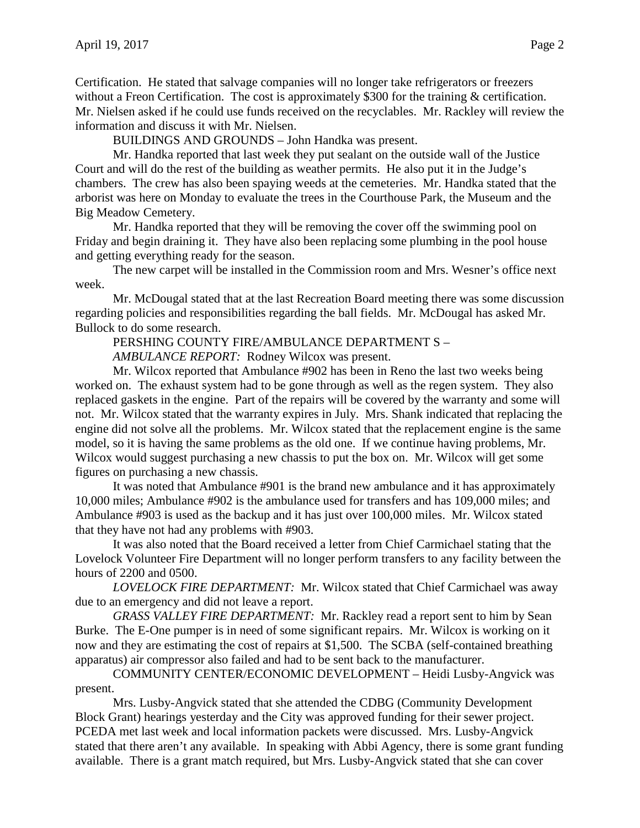Certification. He stated that salvage companies will no longer take refrigerators or freezers without a Freon Certification. The cost is approximately \$300 for the training & certification. Mr. Nielsen asked if he could use funds received on the recyclables. Mr. Rackley will review the information and discuss it with Mr. Nielsen.

BUILDINGS AND GROUNDS – John Handka was present.

Mr. Handka reported that last week they put sealant on the outside wall of the Justice Court and will do the rest of the building as weather permits. He also put it in the Judge's chambers. The crew has also been spaying weeds at the cemeteries. Mr. Handka stated that the arborist was here on Monday to evaluate the trees in the Courthouse Park, the Museum and the Big Meadow Cemetery.

Mr. Handka reported that they will be removing the cover off the swimming pool on Friday and begin draining it. They have also been replacing some plumbing in the pool house and getting everything ready for the season.

The new carpet will be installed in the Commission room and Mrs. Wesner's office next week.

Mr. McDougal stated that at the last Recreation Board meeting there was some discussion regarding policies and responsibilities regarding the ball fields. Mr. McDougal has asked Mr. Bullock to do some research.

PERSHING COUNTY FIRE/AMBULANCE DEPARTMENT S –

*AMBULANCE REPORT:* Rodney Wilcox was present.

Mr. Wilcox reported that Ambulance #902 has been in Reno the last two weeks being worked on. The exhaust system had to be gone through as well as the regen system. They also replaced gaskets in the engine. Part of the repairs will be covered by the warranty and some will not. Mr. Wilcox stated that the warranty expires in July. Mrs. Shank indicated that replacing the engine did not solve all the problems. Mr. Wilcox stated that the replacement engine is the same model, so it is having the same problems as the old one. If we continue having problems, Mr. Wilcox would suggest purchasing a new chassis to put the box on. Mr. Wilcox will get some figures on purchasing a new chassis.

It was noted that Ambulance #901 is the brand new ambulance and it has approximately 10,000 miles; Ambulance #902 is the ambulance used for transfers and has 109,000 miles; and Ambulance #903 is used as the backup and it has just over 100,000 miles. Mr. Wilcox stated that they have not had any problems with #903.

It was also noted that the Board received a letter from Chief Carmichael stating that the Lovelock Volunteer Fire Department will no longer perform transfers to any facility between the hours of 2200 and 0500.

*LOVELOCK FIRE DEPARTMENT:* Mr. Wilcox stated that Chief Carmichael was away due to an emergency and did not leave a report.

*GRASS VALLEY FIRE DEPARTMENT:* Mr. Rackley read a report sent to him by Sean Burke. The E-One pumper is in need of some significant repairs. Mr. Wilcox is working on it now and they are estimating the cost of repairs at \$1,500. The SCBA (self-contained breathing apparatus) air compressor also failed and had to be sent back to the manufacturer.

COMMUNITY CENTER/ECONOMIC DEVELOPMENT – Heidi Lusby-Angvick was present.

Mrs. Lusby-Angvick stated that she attended the CDBG (Community Development Block Grant) hearings yesterday and the City was approved funding for their sewer project. PCEDA met last week and local information packets were discussed. Mrs. Lusby-Angvick stated that there aren't any available. In speaking with Abbi Agency, there is some grant funding available. There is a grant match required, but Mrs. Lusby-Angvick stated that she can cover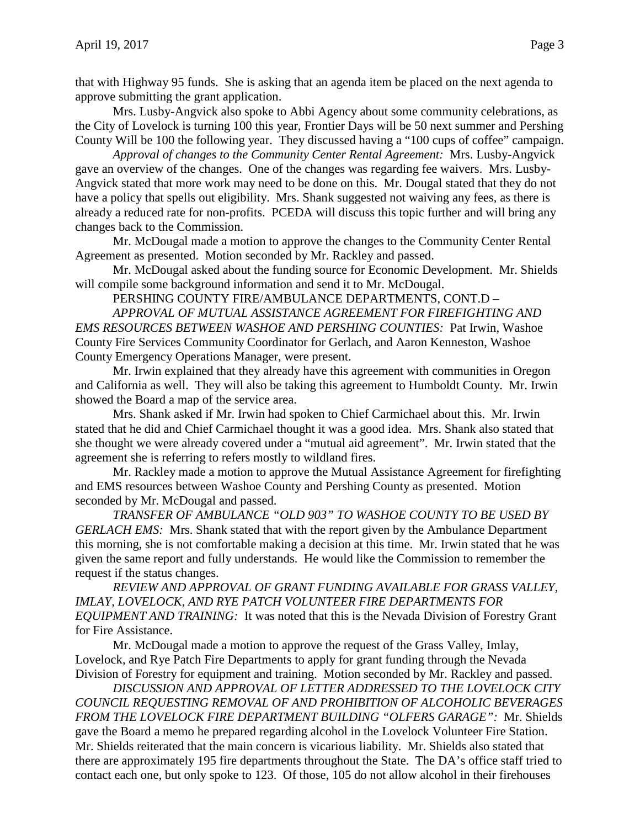that with Highway 95 funds. She is asking that an agenda item be placed on the next agenda to approve submitting the grant application.

Mrs. Lusby-Angvick also spoke to Abbi Agency about some community celebrations, as the City of Lovelock is turning 100 this year, Frontier Days will be 50 next summer and Pershing County Will be 100 the following year. They discussed having a "100 cups of coffee" campaign.

*Approval of changes to the Community Center Rental Agreement:* Mrs. Lusby-Angvick gave an overview of the changes. One of the changes was regarding fee waivers. Mrs. Lusby-Angvick stated that more work may need to be done on this. Mr. Dougal stated that they do not have a policy that spells out eligibility. Mrs. Shank suggested not waiving any fees, as there is already a reduced rate for non-profits. PCEDA will discuss this topic further and will bring any changes back to the Commission.

Mr. McDougal made a motion to approve the changes to the Community Center Rental Agreement as presented. Motion seconded by Mr. Rackley and passed.

Mr. McDougal asked about the funding source for Economic Development. Mr. Shields will compile some background information and send it to Mr. McDougal.

PERSHING COUNTY FIRE/AMBULANCE DEPARTMENTS, CONT.D –

*APPROVAL OF MUTUAL ASSISTANCE AGREEMENT FOR FIREFIGHTING AND EMS RESOURCES BETWEEN WASHOE AND PERSHING COUNTIES:* Pat Irwin, Washoe County Fire Services Community Coordinator for Gerlach, and Aaron Kenneston, Washoe County Emergency Operations Manager, were present.

Mr. Irwin explained that they already have this agreement with communities in Oregon and California as well. They will also be taking this agreement to Humboldt County. Mr. Irwin showed the Board a map of the service area.

Mrs. Shank asked if Mr. Irwin had spoken to Chief Carmichael about this. Mr. Irwin stated that he did and Chief Carmichael thought it was a good idea. Mrs. Shank also stated that she thought we were already covered under a "mutual aid agreement". Mr. Irwin stated that the agreement she is referring to refers mostly to wildland fires.

Mr. Rackley made a motion to approve the Mutual Assistance Agreement for firefighting and EMS resources between Washoe County and Pershing County as presented. Motion seconded by Mr. McDougal and passed.

*TRANSFER OF AMBULANCE "OLD 903" TO WASHOE COUNTY TO BE USED BY GERLACH EMS:* Mrs. Shank stated that with the report given by the Ambulance Department this morning, she is not comfortable making a decision at this time. Mr. Irwin stated that he was given the same report and fully understands. He would like the Commission to remember the request if the status changes.

*REVIEW AND APPROVAL OF GRANT FUNDING AVAILABLE FOR GRASS VALLEY, IMLAY, LOVELOCK, AND RYE PATCH VOLUNTEER FIRE DEPARTMENTS FOR EQUIPMENT AND TRAINING:* It was noted that this is the Nevada Division of Forestry Grant for Fire Assistance.

Mr. McDougal made a motion to approve the request of the Grass Valley, Imlay, Lovelock, and Rye Patch Fire Departments to apply for grant funding through the Nevada Division of Forestry for equipment and training. Motion seconded by Mr. Rackley and passed.

*DISCUSSION AND APPROVAL OF LETTER ADDRESSED TO THE LOVELOCK CITY COUNCIL REQUESTING REMOVAL OF AND PROHIBITION OF ALCOHOLIC BEVERAGES FROM THE LOVELOCK FIRE DEPARTMENT BUILDING "OLFERS GARAGE":* Mr. Shields gave the Board a memo he prepared regarding alcohol in the Lovelock Volunteer Fire Station. Mr. Shields reiterated that the main concern is vicarious liability. Mr. Shields also stated that there are approximately 195 fire departments throughout the State. The DA's office staff tried to contact each one, but only spoke to 123. Of those, 105 do not allow alcohol in their firehouses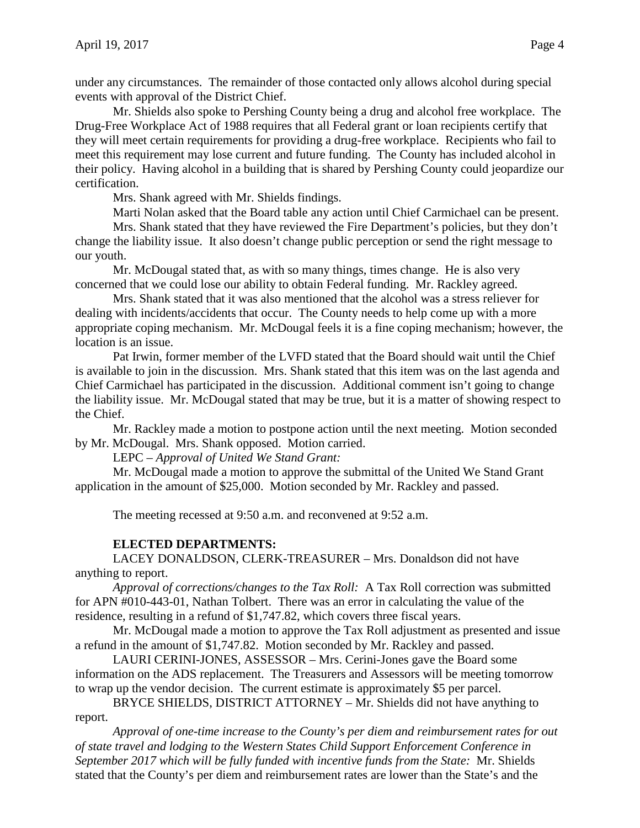under any circumstances. The remainder of those contacted only allows alcohol during special events with approval of the District Chief.

Mr. Shields also spoke to Pershing County being a drug and alcohol free workplace. The Drug-Free Workplace Act of 1988 requires that all Federal grant or loan recipients certify that they will meet certain requirements for providing a drug-free workplace. Recipients who fail to meet this requirement may lose current and future funding. The County has included alcohol in their policy. Having alcohol in a building that is shared by Pershing County could jeopardize our certification.

Mrs. Shank agreed with Mr. Shields findings.

Marti Nolan asked that the Board table any action until Chief Carmichael can be present.

Mrs. Shank stated that they have reviewed the Fire Department's policies, but they don't change the liability issue. It also doesn't change public perception or send the right message to our youth.

Mr. McDougal stated that, as with so many things, times change. He is also very concerned that we could lose our ability to obtain Federal funding. Mr. Rackley agreed.

Mrs. Shank stated that it was also mentioned that the alcohol was a stress reliever for dealing with incidents/accidents that occur. The County needs to help come up with a more appropriate coping mechanism. Mr. McDougal feels it is a fine coping mechanism; however, the location is an issue.

Pat Irwin, former member of the LVFD stated that the Board should wait until the Chief is available to join in the discussion. Mrs. Shank stated that this item was on the last agenda and Chief Carmichael has participated in the discussion. Additional comment isn't going to change the liability issue. Mr. McDougal stated that may be true, but it is a matter of showing respect to the Chief.

Mr. Rackley made a motion to postpone action until the next meeting. Motion seconded by Mr. McDougal. Mrs. Shank opposed. Motion carried.

LEPC – *Approval of United We Stand Grant:*

Mr. McDougal made a motion to approve the submittal of the United We Stand Grant application in the amount of \$25,000. Motion seconded by Mr. Rackley and passed.

The meeting recessed at 9:50 a.m. and reconvened at 9:52 a.m.

# **ELECTED DEPARTMENTS:**

LACEY DONALDSON, CLERK-TREASURER – Mrs. Donaldson did not have anything to report.

*Approval of corrections/changes to the Tax Roll:* A Tax Roll correction was submitted for APN #010-443-01, Nathan Tolbert. There was an error in calculating the value of the residence, resulting in a refund of \$1,747.82, which covers three fiscal years.

Mr. McDougal made a motion to approve the Tax Roll adjustment as presented and issue a refund in the amount of \$1,747.82. Motion seconded by Mr. Rackley and passed.

LAURI CERINI-JONES, ASSESSOR – Mrs. Cerini-Jones gave the Board some information on the ADS replacement. The Treasurers and Assessors will be meeting tomorrow to wrap up the vendor decision. The current estimate is approximately \$5 per parcel.

BRYCE SHIELDS, DISTRICT ATTORNEY – Mr. Shields did not have anything to report.

*Approval of one-time increase to the County's per diem and reimbursement rates for out of state travel and lodging to the Western States Child Support Enforcement Conference in September 2017 which will be fully funded with incentive funds from the State:* Mr. Shields stated that the County's per diem and reimbursement rates are lower than the State's and the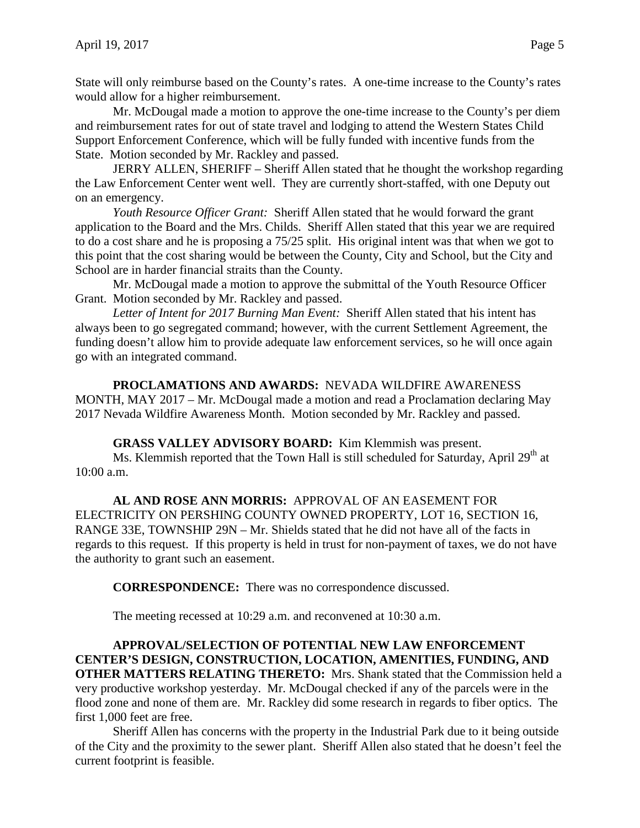State will only reimburse based on the County's rates. A one-time increase to the County's rates would allow for a higher reimbursement.

Mr. McDougal made a motion to approve the one-time increase to the County's per diem and reimbursement rates for out of state travel and lodging to attend the Western States Child Support Enforcement Conference, which will be fully funded with incentive funds from the State. Motion seconded by Mr. Rackley and passed.

JERRY ALLEN, SHERIFF – Sheriff Allen stated that he thought the workshop regarding the Law Enforcement Center went well. They are currently short-staffed, with one Deputy out on an emergency.

*Youth Resource Officer Grant:* Sheriff Allen stated that he would forward the grant application to the Board and the Mrs. Childs. Sheriff Allen stated that this year we are required to do a cost share and he is proposing a 75/25 split. His original intent was that when we got to this point that the cost sharing would be between the County, City and School, but the City and School are in harder financial straits than the County.

Mr. McDougal made a motion to approve the submittal of the Youth Resource Officer Grant. Motion seconded by Mr. Rackley and passed.

*Letter of Intent for 2017 Burning Man Event:* Sheriff Allen stated that his intent has always been to go segregated command; however, with the current Settlement Agreement, the funding doesn't allow him to provide adequate law enforcement services, so he will once again go with an integrated command.

**PROCLAMATIONS AND AWARDS:** NEVADA WILDFIRE AWARENESS MONTH, MAY 2017 – Mr. McDougal made a motion and read a Proclamation declaring May 2017 Nevada Wildfire Awareness Month. Motion seconded by Mr. Rackley and passed.

**GRASS VALLEY ADVISORY BOARD:** Kim Klemmish was present.

Ms. Klemmish reported that the Town Hall is still scheduled for Saturday, April 29<sup>th</sup> at 10:00 a.m.

**AL AND ROSE ANN MORRIS:** APPROVAL OF AN EASEMENT FOR ELECTRICITY ON PERSHING COUNTY OWNED PROPERTY, LOT 16, SECTION 16, RANGE 33E, TOWNSHIP 29N – Mr. Shields stated that he did not have all of the facts in regards to this request. If this property is held in trust for non-payment of taxes, we do not have the authority to grant such an easement.

**CORRESPONDENCE:** There was no correspondence discussed.

The meeting recessed at 10:29 a.m. and reconvened at 10:30 a.m.

**APPROVAL/SELECTION OF POTENTIAL NEW LAW ENFORCEMENT CENTER'S DESIGN, CONSTRUCTION, LOCATION, AMENITIES, FUNDING, AND OTHER MATTERS RELATING THERETO:** Mrs. Shank stated that the Commission held a very productive workshop yesterday. Mr. McDougal checked if any of the parcels were in the flood zone and none of them are. Mr. Rackley did some research in regards to fiber optics. The first 1,000 feet are free.

Sheriff Allen has concerns with the property in the Industrial Park due to it being outside of the City and the proximity to the sewer plant. Sheriff Allen also stated that he doesn't feel the current footprint is feasible.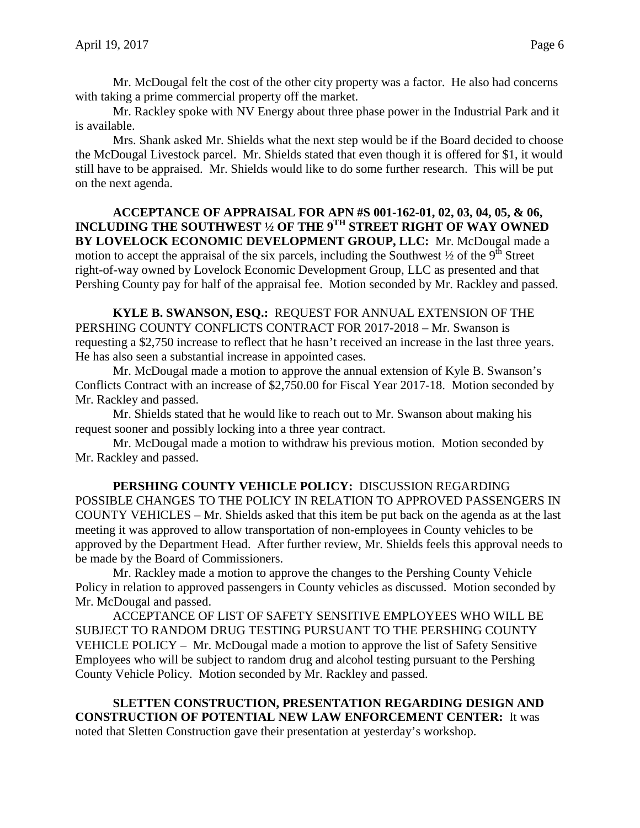Mr. McDougal felt the cost of the other city property was a factor. He also had concerns with taking a prime commercial property off the market.

Mr. Rackley spoke with NV Energy about three phase power in the Industrial Park and it is available.

Mrs. Shank asked Mr. Shields what the next step would be if the Board decided to choose the McDougal Livestock parcel. Mr. Shields stated that even though it is offered for \$1, it would still have to be appraised. Mr. Shields would like to do some further research. This will be put on the next agenda.

### **ACCEPTANCE OF APPRAISAL FOR APN #S 001-162-01, 02, 03, 04, 05, & 06, INCLUDING THE SOUTHWEST ½ OF THE 9TH STREET RIGHT OF WAY OWNED BY LOVELOCK ECONOMIC DEVELOPMENT GROUP, LLC:** Mr. McDougal made a motion to accept the appraisal of the six parcels, including the Southwest  $\frac{1}{2}$  of the 9<sup>th</sup> Street right-of-way owned by Lovelock Economic Development Group, LLC as presented and that Pershing County pay for half of the appraisal fee. Motion seconded by Mr. Rackley and passed.

**KYLE B. SWANSON, ESQ.:** REQUEST FOR ANNUAL EXTENSION OF THE PERSHING COUNTY CONFLICTS CONTRACT FOR 2017-2018 – Mr. Swanson is requesting a \$2,750 increase to reflect that he hasn't received an increase in the last three years. He has also seen a substantial increase in appointed cases.

Mr. McDougal made a motion to approve the annual extension of Kyle B. Swanson's Conflicts Contract with an increase of \$2,750.00 for Fiscal Year 2017-18. Motion seconded by Mr. Rackley and passed.

Mr. Shields stated that he would like to reach out to Mr. Swanson about making his request sooner and possibly locking into a three year contract.

Mr. McDougal made a motion to withdraw his previous motion. Motion seconded by Mr. Rackley and passed.

**PERSHING COUNTY VEHICLE POLICY:** DISCUSSION REGARDING POSSIBLE CHANGES TO THE POLICY IN RELATION TO APPROVED PASSENGERS IN COUNTY VEHICLES – Mr. Shields asked that this item be put back on the agenda as at the last meeting it was approved to allow transportation of non-employees in County vehicles to be approved by the Department Head. After further review, Mr. Shields feels this approval needs to be made by the Board of Commissioners.

Mr. Rackley made a motion to approve the changes to the Pershing County Vehicle Policy in relation to approved passengers in County vehicles as discussed. Motion seconded by Mr. McDougal and passed.

ACCEPTANCE OF LIST OF SAFETY SENSITIVE EMPLOYEES WHO WILL BE SUBJECT TO RANDOM DRUG TESTING PURSUANT TO THE PERSHING COUNTY VEHICLE POLICY – Mr. McDougal made a motion to approve the list of Safety Sensitive Employees who will be subject to random drug and alcohol testing pursuant to the Pershing County Vehicle Policy. Motion seconded by Mr. Rackley and passed.

**SLETTEN CONSTRUCTION, PRESENTATION REGARDING DESIGN AND CONSTRUCTION OF POTENTIAL NEW LAW ENFORCEMENT CENTER:** It was noted that Sletten Construction gave their presentation at yesterday's workshop.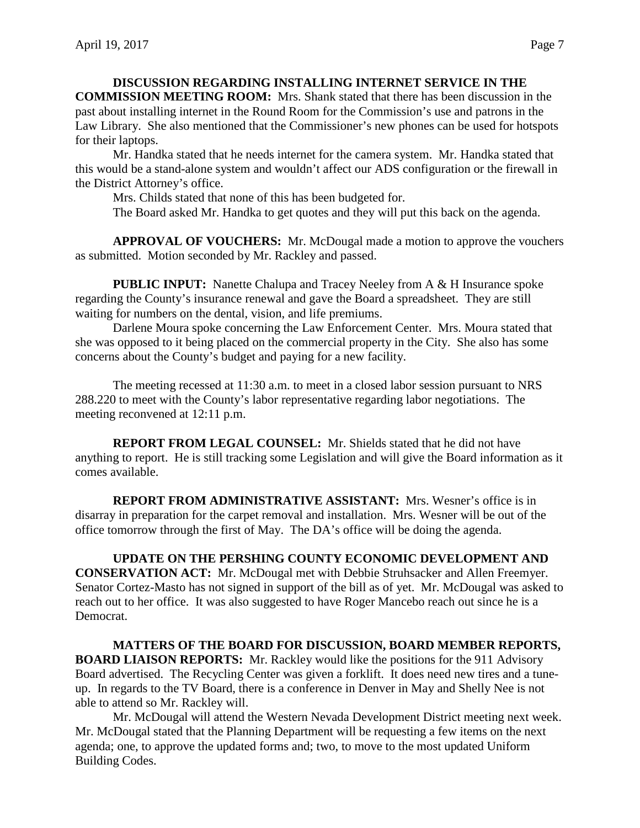# **DISCUSSION REGARDING INSTALLING INTERNET SERVICE IN THE**

**COMMISSION MEETING ROOM:** Mrs. Shank stated that there has been discussion in the past about installing internet in the Round Room for the Commission's use and patrons in the Law Library. She also mentioned that the Commissioner's new phones can be used for hotspots for their laptops.

Mr. Handka stated that he needs internet for the camera system. Mr. Handka stated that this would be a stand-alone system and wouldn't affect our ADS configuration or the firewall in the District Attorney's office.

Mrs. Childs stated that none of this has been budgeted for.

The Board asked Mr. Handka to get quotes and they will put this back on the agenda.

**APPROVAL OF VOUCHERS:** Mr. McDougal made a motion to approve the vouchers as submitted. Motion seconded by Mr. Rackley and passed.

**PUBLIC INPUT:** Nanette Chalupa and Tracey Neeley from A & H Insurance spoke regarding the County's insurance renewal and gave the Board a spreadsheet. They are still waiting for numbers on the dental, vision, and life premiums.

Darlene Moura spoke concerning the Law Enforcement Center. Mrs. Moura stated that she was opposed to it being placed on the commercial property in the City. She also has some concerns about the County's budget and paying for a new facility.

The meeting recessed at 11:30 a.m. to meet in a closed labor session pursuant to NRS 288.220 to meet with the County's labor representative regarding labor negotiations. The meeting reconvened at 12:11 p.m.

**REPORT FROM LEGAL COUNSEL:** Mr. Shields stated that he did not have anything to report. He is still tracking some Legislation and will give the Board information as it comes available.

**REPORT FROM ADMINISTRATIVE ASSISTANT:** Mrs. Wesner's office is in disarray in preparation for the carpet removal and installation. Mrs. Wesner will be out of the office tomorrow through the first of May. The DA's office will be doing the agenda.

**UPDATE ON THE PERSHING COUNTY ECONOMIC DEVELOPMENT AND CONSERVATION ACT:** Mr. McDougal met with Debbie Struhsacker and Allen Freemyer. Senator Cortez-Masto has not signed in support of the bill as of yet. Mr. McDougal was asked to reach out to her office. It was also suggested to have Roger Mancebo reach out since he is a Democrat.

**MATTERS OF THE BOARD FOR DISCUSSION, BOARD MEMBER REPORTS, BOARD LIAISON REPORTS:** Mr. Rackley would like the positions for the 911 Advisory Board advertised. The Recycling Center was given a forklift. It does need new tires and a tuneup. In regards to the TV Board, there is a conference in Denver in May and Shelly Nee is not able to attend so Mr. Rackley will.

Mr. McDougal will attend the Western Nevada Development District meeting next week. Mr. McDougal stated that the Planning Department will be requesting a few items on the next agenda; one, to approve the updated forms and; two, to move to the most updated Uniform Building Codes.